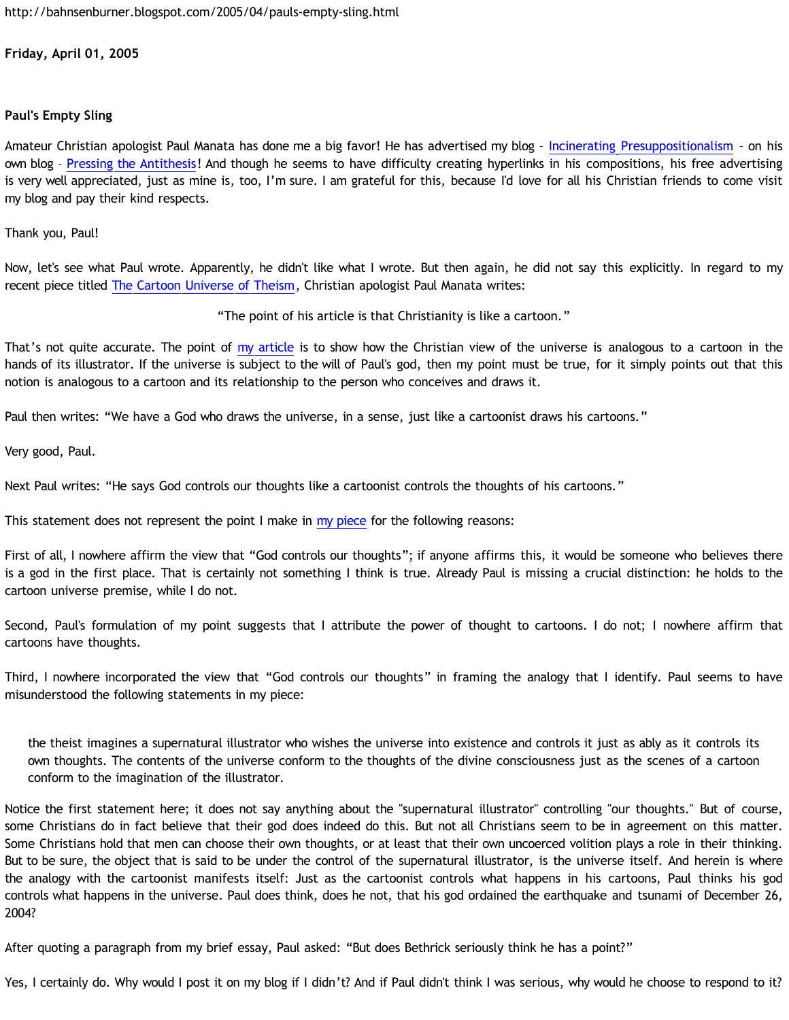<http://bahnsenburner.blogspot.com/2005/04/pauls-empty-sling.html>

**Friday, April 01, 2005**

# **Paul's Empty Sling**

Amateur Christian apologist Paul Manata has done me a big favor! He has advertised my blog – [Incinerating Presuppositionalism](http://bahnsenburner.blogspot.com/) – on his own blog – [Pressing the Antithesis](http://presstheantithesis.blogspot.com/)! And though he seems to have difficulty creating hyperlinks in his compositions, his free advertising is very well appreciated, just as mine is, too, I'm sure. I am grateful for this, because I'd love for all his Christian friends to come visit my blog and pay their kind respects.

Thank you, Paul!

Now, let's see what Paul wrote. Apparently, he didn't like what I wrote. But then again, he did not say this explicitly. In regard to my recent piece titled [The Cartoon Universe of Theism,](http://bahnsenburner.blogspot.com/2005/03/cartoon-universe-of-theism.html) Christian apologist Paul Manata writes:

"The point of his article is that Christianity is like a cartoon."

That's not quite accurate. The point of [my article](http://bahnsenburner.blogspot.com/2005/03/cartoon-universe-of-theism.html) is to show how the Christian view of the universe is analogous to a cartoon in the hands of its illustrator. If the universe is subject to the will of Paul's god, then my point must be true, for it simply points out that this notion is analogous to a cartoon and its relationship to the person who conceives and draws it.

Paul then writes: "We have a God who draws the universe, in a sense, just like a cartoonist draws his cartoons."

Very good, Paul.

Next Paul writes: "He says God controls our thoughts like a cartoonist controls the thoughts of his cartoons."

This statement does not represent the point I make in [my piece](http://bahnsenburner.blogspot.com/2005/03/cartoon-universe-of-theism.html) for the following reasons:

First of all, I nowhere affirm the view that "God controls our thoughts"; if anyone affirms this, it would be someone who believes there is a god in the first place. That is certainly not something I think is true. Already Paul is missing a crucial distinction: he holds to the cartoon universe premise, while I do not.

Second, Paul's formulation of my point suggests that I attribute the power of thought to cartoons. I do not; I nowhere affirm that cartoons have thoughts.

Third, I nowhere incorporated the view that "God controls our thoughts" in framing the analogy that I identify. Paul seems to have misunderstood the following statements in my piece:

the theist imagines a supernatural illustrator who wishes the universe into existence and controls it just as ably as it controls its own thoughts. The contents of the universe conform to the thoughts of the divine consciousness just as the scenes of a cartoon conform to the imagination of the illustrator.

Notice the first statement here; it does not say anything about the "supernatural illustrator" controlling "our thoughts." But of course, some Christians do in fact believe that their god does indeed do this. But not all Christians seem to be in agreement on this matter. Some Christians hold that men can choose their own thoughts, or at least that their own uncoerced volition plays a role in their thinking. But to be sure, the object that is said to be under the control of the supernatural illustrator, is the universe itself. And herein is where the analogy with the cartoonist manifests itself: Just as the cartoonist controls what happens in his cartoons, Paul thinks his god controls what happens in the universe. Paul does think, does he not, that his god ordained the earthquake and tsunami of December 26, 2004?

After quoting a paragraph from my brief essay, Paul asked: "But does Bethrick seriously think he has a point?"

Yes, I certainly do. Why would I post it on my blog if I didn't? And if Paul didn't think I was serious, why would he choose to respond to it?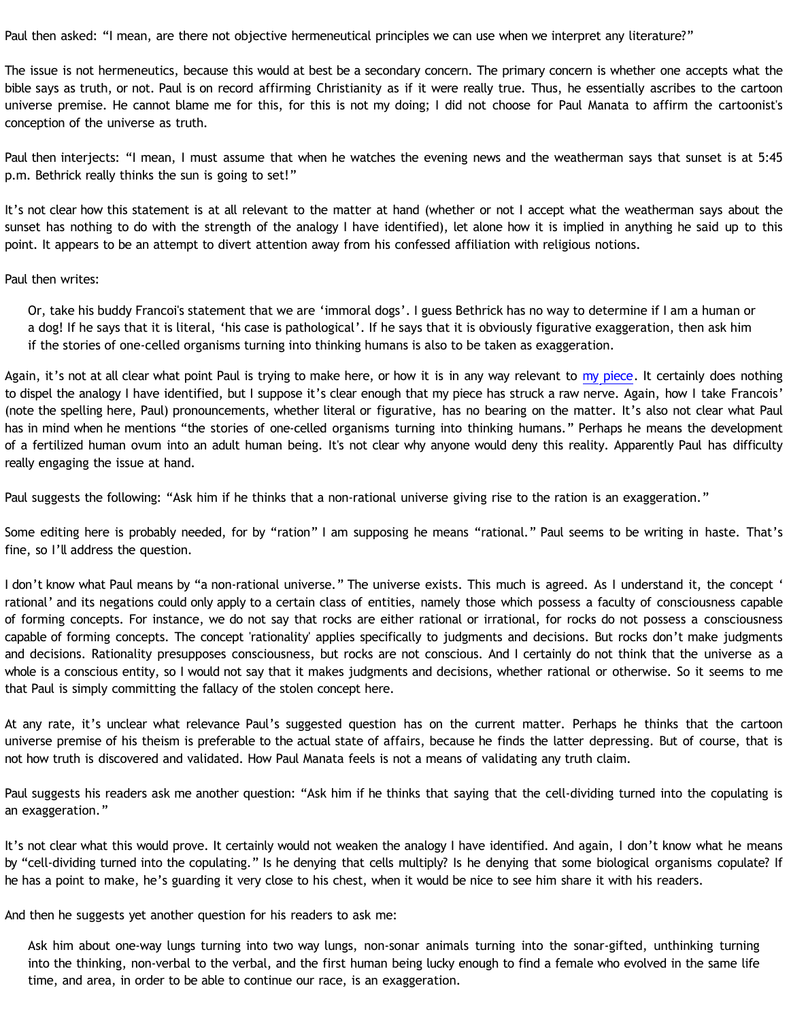Paul then asked: "I mean, are there not objective hermeneutical principles we can use when we interpret any literature?"

The issue is not hermeneutics, because this would at best be a secondary concern. The primary concern is whether one accepts what the bible says as truth, or not. Paul is on record affirming Christianity as if it were really true. Thus, he essentially ascribes to the cartoon universe premise. He cannot blame me for this, for this is not my doing; I did not choose for Paul Manata to affirm the cartoonist's conception of the universe as truth.

Paul then interjects: "I mean, I must assume that when he watches the evening news and the weatherman says that sunset is at 5:45 p.m. Bethrick really thinks the sun is going to set!"

It's not clear how this statement is at all relevant to the matter at hand (whether or not I accept what the weatherman says about the sunset has nothing to do with the strength of the analogy I have identified), let alone how it is implied in anything he said up to this point. It appears to be an attempt to divert attention away from his confessed affiliation with religious notions.

## Paul then writes:

Or, take his buddy Francoi's statement that we are 'immoral dogs'. I guess Bethrick has no way to determine if I am a human or a dog! If he says that it is literal, 'his case is pathological'. If he says that it is obviously figurative exaggeration, then ask him if the stories of one-celled organisms turning into thinking humans is also to be taken as exaggeration.

Again, it's not at all clear what point Paul is trying to make here, or how it is in any way relevant to [my piece](http://bahnsenburner.blogspot.com/2005/03/cartoon-universe-of-theism.html). It certainly does nothing to dispel the analogy I have identified, but I suppose it's clear enough that my piece has struck a raw nerve. Again, how I take Francois' (note the spelling here, Paul) pronouncements, whether literal or figurative, has no bearing on the matter. It's also not clear what Paul has in mind when he mentions "the stories of one-celled organisms turning into thinking humans." Perhaps he means the development of a fertilized human ovum into an adult human being. It's not clear why anyone would deny this reality. Apparently Paul has difficulty really engaging the issue at hand.

Paul suggests the following: "Ask him if he thinks that a non-rational universe giving rise to the ration is an exaggeration."

Some editing here is probably needed, for by "ration" I am supposing he means "rational." Paul seems to be writing in haste. That's fine, so I'll address the question.

I don't know what Paul means by "a non-rational universe." The universe exists. This much is agreed. As I understand it, the concept ' rational' and its negations could only apply to a certain class of entities, namely those which possess a faculty of consciousness capable of forming concepts. For instance, we do not say that rocks are either rational or irrational, for rocks do not possess a consciousness capable of forming concepts. The concept 'rationality' applies specifically to judgments and decisions. But rocks don't make judgments and decisions. Rationality presupposes consciousness, but rocks are not conscious. And I certainly do not think that the universe as a whole is a conscious entity, so I would not say that it makes judgments and decisions, whether rational or otherwise. So it seems to me that Paul is simply committing the fallacy of the stolen concept here.

At any rate, it's unclear what relevance Paul's suggested question has on the current matter. Perhaps he thinks that the cartoon universe premise of his theism is preferable to the actual state of affairs, because he finds the latter depressing. But of course, that is not how truth is discovered and validated. How Paul Manata feels is not a means of validating any truth claim.

Paul suggests his readers ask me another question: "Ask him if he thinks that saying that the cell-dividing turned into the copulating is an exaggeration."

It's not clear what this would prove. It certainly would not weaken the analogy I have identified. And again, I don't know what he means by "cell-dividing turned into the copulating." Is he denying that cells multiply? Is he denying that some biological organisms copulate? If he has a point to make, he's guarding it very close to his chest, when it would be nice to see him share it with his readers.

And then he suggests yet another question for his readers to ask me:

Ask him about one-way lungs turning into two way lungs, non-sonar animals turning into the sonar-gifted, unthinking turning into the thinking, non-verbal to the verbal, and the first human being lucky enough to find a female who evolved in the same life time, and area, in order to be able to continue our race, is an exaggeration.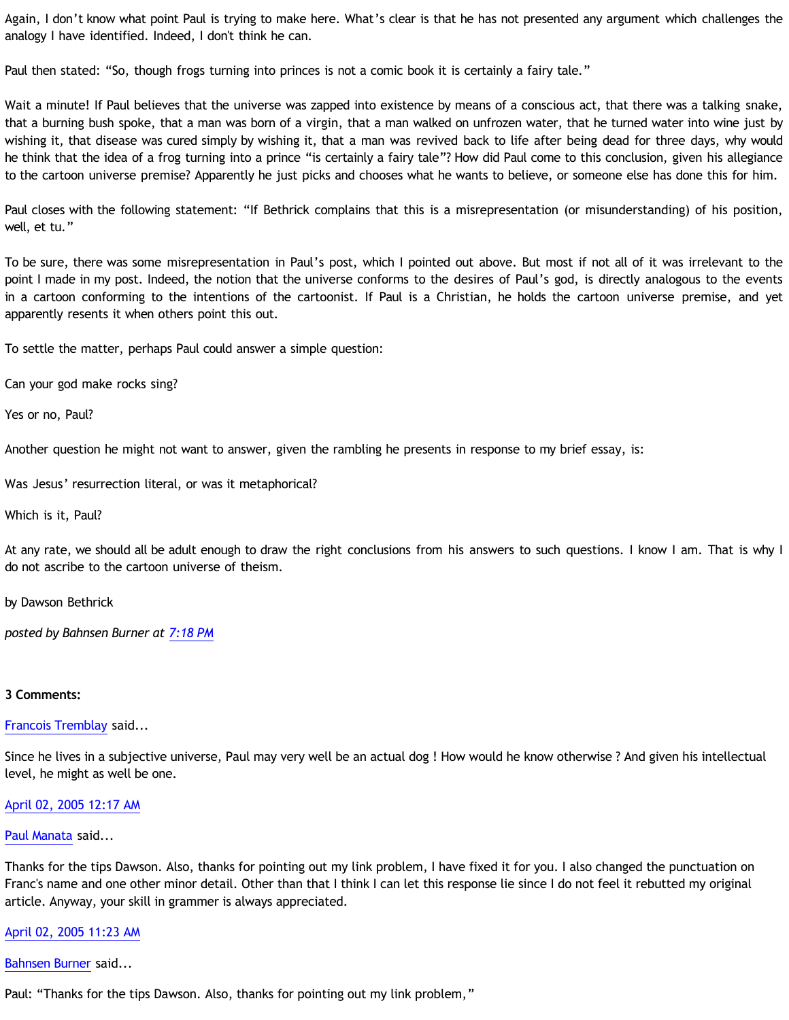Again, I don't know what point Paul is trying to make here. What's clear is that he has not presented any argument which challenges the analogy I have identified. Indeed, I don't think he can.

Paul then stated: "So, though frogs turning into princes is not a comic book it is certainly a fairy tale."

Wait a minute! If Paul believes that the universe was zapped into existence by means of a conscious act, that there was a talking snake, that a burning bush spoke, that a man was born of a virgin, that a man walked on unfrozen water, that he turned water into wine just by wishing it, that disease was cured simply by wishing it, that a man was revived back to life after being dead for three days, why would he think that the idea of a frog turning into a prince "is certainly a fairy tale"? How did Paul come to this conclusion, given his allegiance to the cartoon universe premise? Apparently he just picks and chooses what he wants to believe, or someone else has done this for him.

Paul closes with the following statement: "If Bethrick complains that this is a misrepresentation (or misunderstanding) of his position, well, et tu."

To be sure, there was some misrepresentation in Paul's post, which I pointed out above. But most if not all of it was irrelevant to the point I made in my post. Indeed, the notion that the universe conforms to the desires of Paul's god, is directly analogous to the events in a cartoon conforming to the intentions of the cartoonist. If Paul is a Christian, he holds the cartoon universe premise, and yet apparently resents it when others point this out.

To settle the matter, perhaps Paul could answer a simple question:

Can your god make rocks sing?

Yes or no, Paul?

Another question he might not want to answer, given the rambling he presents in response to my brief essay, is:

Was Jesus' resurrection literal, or was it metaphorical?

Which is it, Paul?

At any rate, we should all be adult enough to draw the right conclusions from his answers to such questions. I know I am. That is why I do not ascribe to the cartoon universe of theism.

by Dawson Bethrick

*posted by Bahnsen Burner at [7:18 PM](http://bahnsenburner.blogspot.com/2005/04/pauls-empty-sling.html)*

## **3 Comments:**

[Francois Tremblay](http://www.blogger.com/profile/7715861) said...

Since he lives in a subjective universe, Paul may very well be an actual dog ! How would he know otherwise ? And given his intellectual level, he might as well be one.

## [April 02, 2005 12:17 AM](http://bahnsenburner.blogspot.com/2005/04/111242984828109995)

## [Paul Manata](http://www.blogger.com/profile/7464842) said...

Thanks for the tips Dawson. Also, thanks for pointing out my link problem, I have fixed it for you. I also changed the punctuation on Franc's name and one other minor detail. Other than that I think I can let this response lie since I do not feel it rebutted my original article. Anyway, your skill in grammer is always appreciated.

## [April 02, 2005 11:23 AM](http://bahnsenburner.blogspot.com/2005/04/111246978599265768)

[Bahnsen Burner](http://www.blogger.com/profile/7766918) said...

Paul: "Thanks for the tips Dawson. Also, thanks for pointing out my link problem,"